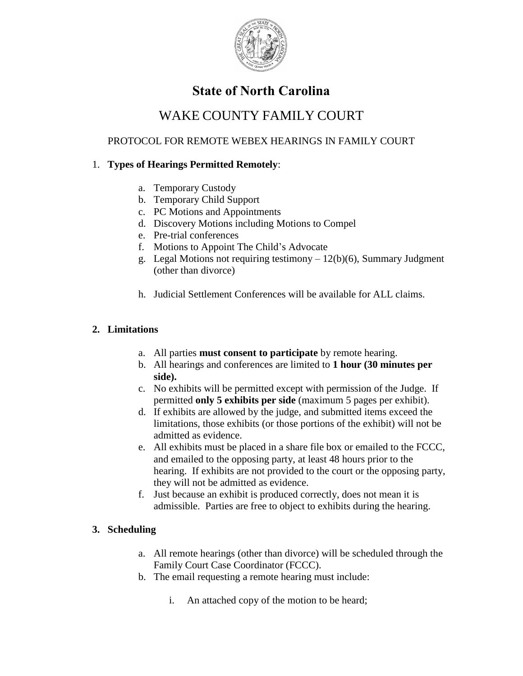

# **State of North Carolina**

# WAKE COUNTY FAMILY COURT

# PROTOCOL FOR REMOTE WEBEX HEARINGS IN FAMILY COURT

# 1. **Types of Hearings Permitted Remotely**:

- a. Temporary Custody
- b. Temporary Child Support
- c. PC Motions and Appointments
- d. Discovery Motions including Motions to Compel
- e. Pre-trial conferences
- f. Motions to Appoint The Child's Advocate
- g. Legal Motions not requiring testimony  $-12(b)(6)$ , Summary Judgment (other than divorce)
- h. Judicial Settlement Conferences will be available for ALL claims.

## **2. Limitations**

- a. All parties **must consent to participate** by remote hearing.
- b. All hearings and conferences are limited to **1 hour (30 minutes per side).**
- c. No exhibits will be permitted except with permission of the Judge. If permitted **only 5 exhibits per side** (maximum 5 pages per exhibit).
- d. If exhibits are allowed by the judge, and submitted items exceed the limitations, those exhibits (or those portions of the exhibit) will not be admitted as evidence.
- e. All exhibits must be placed in a share file box or emailed to the FCCC, and emailed to the opposing party, at least 48 hours prior to the hearing. If exhibits are not provided to the court or the opposing party, they will not be admitted as evidence.
- f. Just because an exhibit is produced correctly, does not mean it is admissible. Parties are free to object to exhibits during the hearing.

## **3. Scheduling**

- a. All remote hearings (other than divorce) will be scheduled through the Family Court Case Coordinator (FCCC).
- b. The email requesting a remote hearing must include:
	- i. An attached copy of the motion to be heard;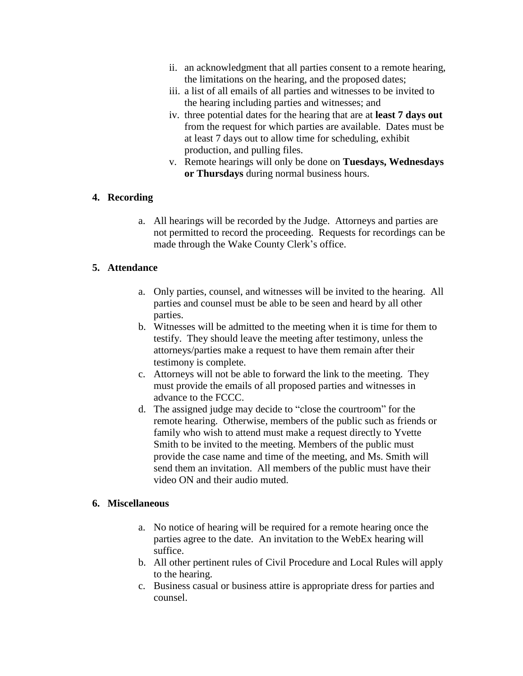- ii. an acknowledgment that all parties consent to a remote hearing, the limitations on the hearing, and the proposed dates;
- iii. a list of all emails of all parties and witnesses to be invited to the hearing including parties and witnesses; and
- iv. three potential dates for the hearing that are at **least 7 days out** from the request for which parties are available. Dates must be at least 7 days out to allow time for scheduling, exhibit production, and pulling files.
- v. Remote hearings will only be done on **Tuesdays, Wednesdays or Thursdays** during normal business hours.

### **4. Recording**

a. All hearings will be recorded by the Judge. Attorneys and parties are not permitted to record the proceeding. Requests for recordings can be made through the Wake County Clerk's office.

### **5. Attendance**

- a. Only parties, counsel, and witnesses will be invited to the hearing. All parties and counsel must be able to be seen and heard by all other parties.
- b. Witnesses will be admitted to the meeting when it is time for them to testify. They should leave the meeting after testimony, unless the attorneys/parties make a request to have them remain after their testimony is complete.
- c. Attorneys will not be able to forward the link to the meeting. They must provide the emails of all proposed parties and witnesses in advance to the FCCC.
- d. The assigned judge may decide to "close the courtroom" for the remote hearing. Otherwise, members of the public such as friends or family who wish to attend must make a request directly to Yvette Smith to be invited to the meeting. Members of the public must provide the case name and time of the meeting, and Ms. Smith will send them an invitation. All members of the public must have their video ON and their audio muted.

### **6. Miscellaneous**

- a. No notice of hearing will be required for a remote hearing once the parties agree to the date. An invitation to the WebEx hearing will suffice.
- b. All other pertinent rules of Civil Procedure and Local Rules will apply to the hearing.
- c. Business casual or business attire is appropriate dress for parties and counsel.